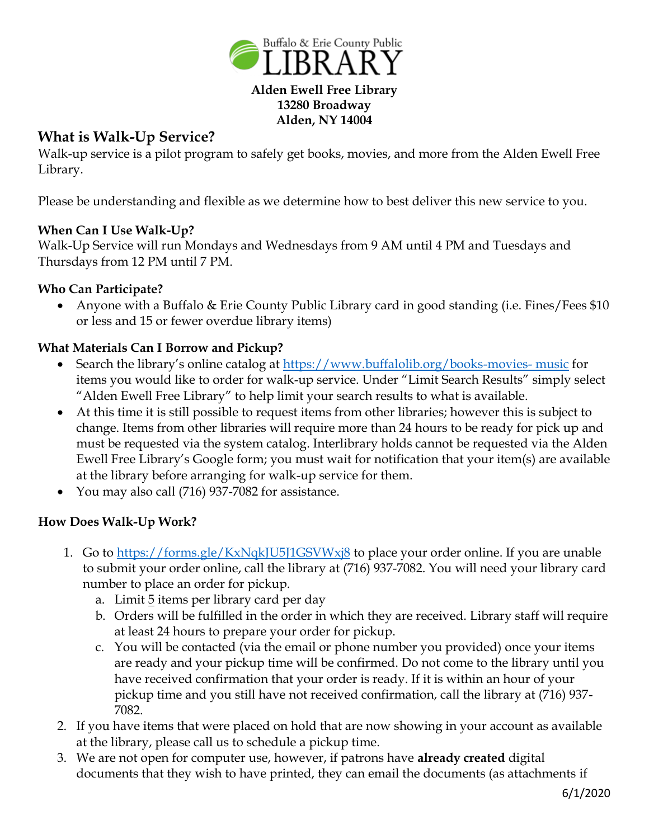

# **What is Walk-Up Service?**

Walk-up service is a pilot program to safely get books, movies, and more from the Alden Ewell Free Library.

Please be understanding and flexible as we determine how to best deliver this new service to you.

## **When Can I Use Walk-Up?**

Walk-Up Service will run Mondays and Wednesdays from 9 AM until 4 PM and Tuesdays and Thursdays from 12 PM until 7 PM.

#### **Who Can Participate?**

• Anyone with a Buffalo & Erie County Public Library card in good standing (i.e. Fines/Fees \$10) or less and 15 or fewer overdue library items)

#### **What Materials Can I Borrow and Pickup?**

- Search the library's online catalog at [https://www.buffalolib.org/books-movies-](file://///users/paulaklocek/Desktop/Reopening/Word%20Docs/1.%20Items%20will%20remain%20on%20your%20account%20after%20you%20return%20them,%20for%20a%20minimum%20of%2072%20hours.%20%202.%20Returned%20library%20items%20will%20be%20quarantined%20for%2072%20hours%20to%20ensure%20the%20safety%20of%20our%20patrons%20and%20staff.%20All%20items%20will%20be%20backdated%20after%20the%2072-hour%20quarantine%20period.%20Materials%20returned%20on%20time%20will%20not%20accrue%20any%20fines%20and%20fees.) music for items you would like to order for walk-up service. Under "Limit Search Results" simply select "Alden Ewell Free Library" to help limit your search results to what is available.
- At this time it is still possible to request items from other libraries; however this is subject to change. Items from other libraries will require more than 24 hours to be ready for pick up and must be requested via the system catalog. Interlibrary holds cannot be requested via the Alden Ewell Free Library's Google form; you must wait for notification that your item(s) are available at the library before arranging for walk-up service for them.
- You may also call (716) 937-7082 for assistance.

## **How Does Walk-Up Work?**

- 1. Go to <https://forms.gle/KxNqkJU5J1GSVWxj8> to place your order online. If you are unable to submit your order online, call the library at (716) 937-7082. You will need your library card number to place an order for pickup.
	- a. Limit 5 items per library card per day
	- b. Orders will be fulfilled in the order in which they are received. Library staff will require at least 24 hours to prepare your order for pickup.
	- c. You will be contacted (via the email or phone number you provided) once your items are ready and your pickup time will be confirmed. Do not come to the library until you have received confirmation that your order is ready. If it is within an hour of your pickup time and you still have not received confirmation, call the library at (716) 937- 7082.
- 2. If you have items that were placed on hold that are now showing in your account as available at the library, please call us to schedule a pickup time.
- 3. We are not open for computer use, however, if patrons have **already created** digital documents that they wish to have printed, they can email the documents (as attachments if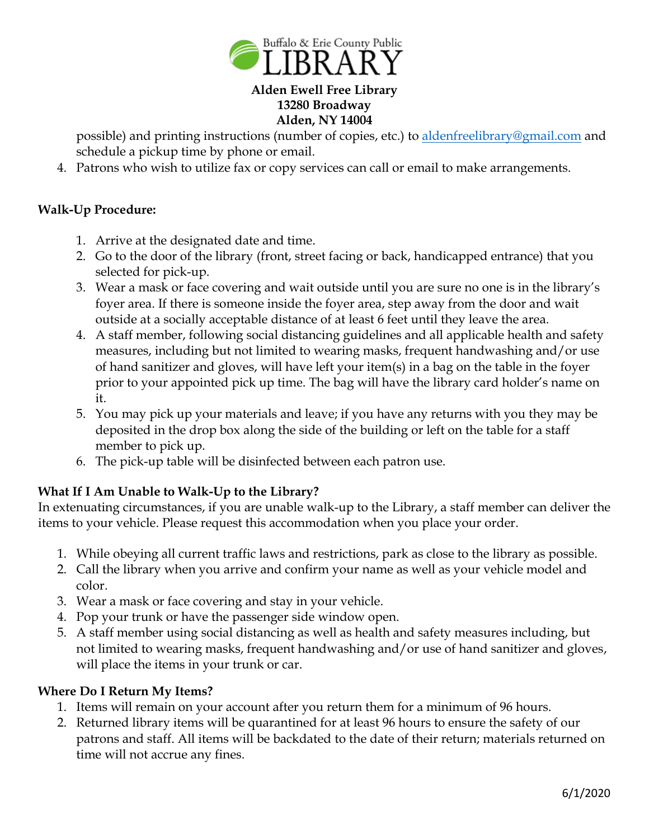

#### **Alden Ewell Free Library 13280 Broadway Alden, NY 14004**

possible) and printing instructions (number of copies, etc.) to [aldenfreelibrary@gmail.com](mailto:aldenfreelibrary@gmail.com) and schedule a pickup time by phone or email.

4. Patrons who wish to utilize fax or copy services can call or email to make arrangements.

### **Walk-Up Procedure:**

- 1. Arrive at the designated date and time.
- 2. Go to the door of the library (front, street facing or back, handicapped entrance) that you selected for pick-up.
- 3. Wear a mask or face covering and wait outside until you are sure no one is in the library's foyer area. If there is someone inside the foyer area, step away from the door and wait outside at a socially acceptable distance of at least 6 feet until they leave the area.
- 4. A staff member, following social distancing guidelines and all applicable health and safety measures, including but not limited to wearing masks, frequent handwashing and/or use of hand sanitizer and gloves, will have left your item(s) in a bag on the table in the foyer prior to your appointed pick up time. The bag will have the library card holder's name on it.
- 5. You may pick up your materials and leave; if you have any returns with you they may be deposited in the drop box along the side of the building or left on the table for a staff member to pick up.
- 6. The pick-up table will be disinfected between each patron use.

## **What If I Am Unable to Walk-Up to the Library?**

In extenuating circumstances, if you are unable walk-up to the Library, a staff member can deliver the items to your vehicle. Please request this accommodation when you place your order.

- 1. While obeying all current traffic laws and restrictions, park as close to the library as possible.
- 2. Call the library when you arrive and confirm your name as well as your vehicle model and color.
- 3. Wear a mask or face covering and stay in your vehicle.
- 4. Pop your trunk or have the passenger side window open.
- 5. A staff member using social distancing as well as health and safety measures including, but not limited to wearing masks, frequent handwashing and/or use of hand sanitizer and gloves, will place the items in your trunk or car.

#### **Where Do I Return My Items?**

- 1. Items will remain on your account after you return them for a minimum of 96 hours.
- 2. Returned library items will be quarantined for at least 96 hours to ensure the safety of our patrons and staff. All items will be backdated to the date of their return; materials returned on time will not accrue any fines.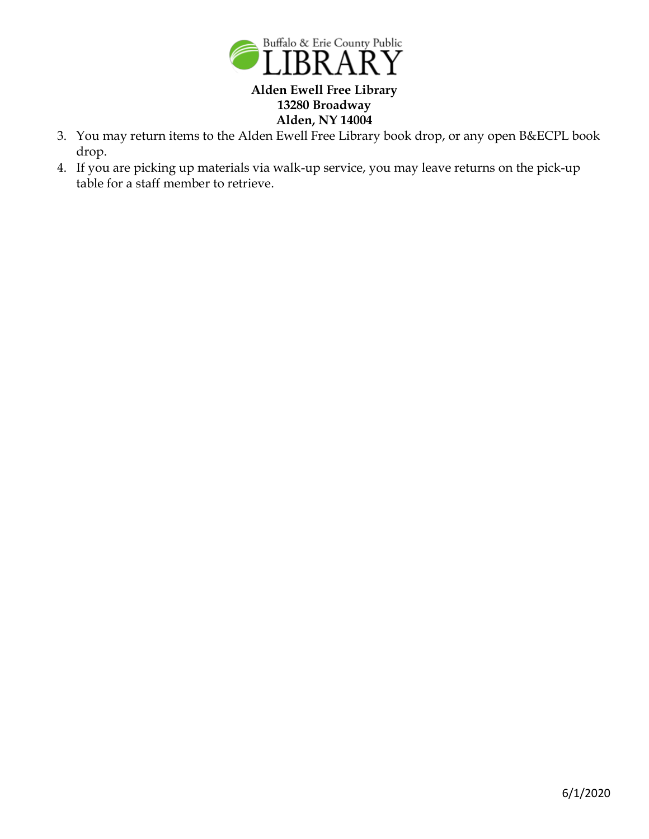

#### **Alden Ewell Free Library 13280 Broadway Alden, NY 14004**

- 3. You may return items to the Alden Ewell Free Library book drop, or any open B&ECPL book drop.
- 4. If you are picking up materials via walk-up service, you may leave returns on the pick-up table for a staff member to retrieve.